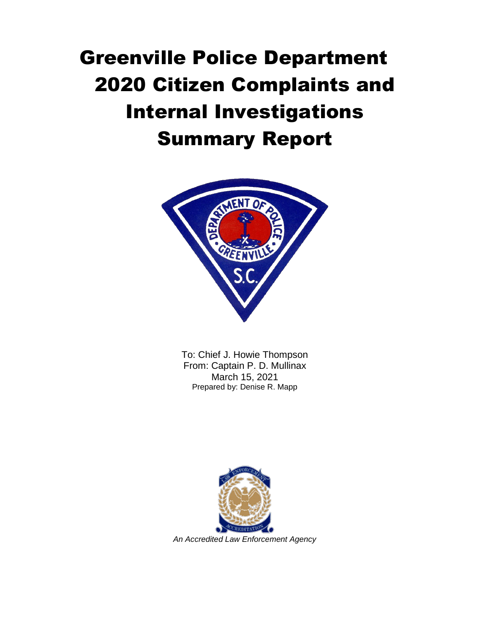

To: Chief J. Howie Thompson From: Captain P. D. Mullinax March 15, 2021 Prepared by: Denise R. Mapp

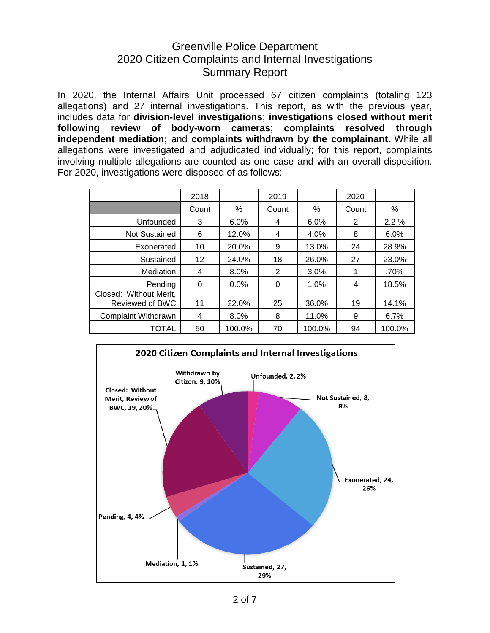In 2020, the Internal Affairs Unit processed 67 citizen complaints (totaling 123 allegations) and 27 internal investigations. This report, as with the previous year, includes data for **division-level investigations**; **investigations closed without merit following review of body-worn cameras**; **complaints resolved through independent mediation;** and **complaints withdrawn by the complainant.** While all allegations were investigated and adjudicated individually; for this report, complaints involving multiple allegations are counted as one case and with an overall disposition. For 2020, investigations were disposed of as follows:

|                                                  | 2018              |        | 2019  |        | 2020  |        |
|--------------------------------------------------|-------------------|--------|-------|--------|-------|--------|
|                                                  | Count             | %      | Count | %      | Count | %      |
| Unfounded                                        | 3                 | 6.0%   | 4     | 6.0%   | 2     | 2.2%   |
| <b>Not Sustained</b>                             | 6                 | 12.0%  | 4     | 4.0%   | 8     | 6.0%   |
| Exonerated                                       | 10                | 20.0%  | 9     | 13.0%  | 24    | 28.9%  |
| Sustained                                        | $12 \overline{ }$ | 24.0%  | 18    | 26.0%  | 27    | 23.0%  |
| Mediation                                        | 4                 | 8.0%   | 2     | 3.0%   |       | .70%   |
| Pendina                                          | 0                 | 0.0%   | 0     | 1.0%   | 4     | 18.5%  |
| Closed: Without Merit,<br><b>Reviewed of BWC</b> | 11                | 22.0%  | 25    | 36.0%  | 19    | 14.1%  |
| <b>Complaint Withdrawn</b>                       | 4                 | 8.0%   | 8     | 11.0%  | 9     | 6.7%   |
| TOTAL                                            | 50                | 100.0% | 70    | 100.0% | 94    | 100.0% |

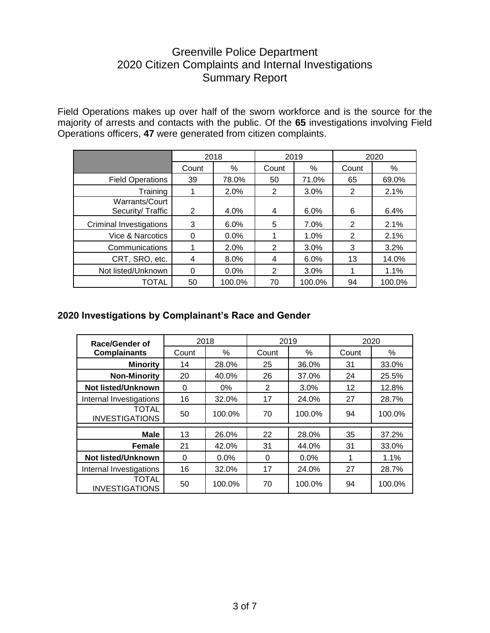Field Operations makes up over half of the sworn workforce and is the source for the majority of arrests and contacts with the public. Of the **65** investigations involving Field Operations officers, **47** were generated from citizen complaints.

|                                    | 2018  |        | 2019  |        | 2020  |        |
|------------------------------------|-------|--------|-------|--------|-------|--------|
|                                    | Count | %      | Count | %      | Count | %      |
| <b>Field Operations</b>            | 39    | 78.0%  | 50    | 71.0%  | 65    | 69.0%  |
| Training                           |       | 2.0%   | 2     | 3.0%   | 2     | 2.1%   |
| Warrants/Court<br>Security/Traffic | 2     | 4.0%   | 4     | 6.0%   | 6     | 6.4%   |
| Criminal Investigations            | 3     | 6.0%   | 5     | 7.0%   | 2     | 2.1%   |
| Vice & Narcotics                   | 0     | 0.0%   |       | 1.0%   | 2     | 2.1%   |
| Communications                     |       | 2.0%   | 2     | 3.0%   | 3     | 3.2%   |
| CRT, SRO, etc.                     | 4     | 8.0%   | 4     | 6.0%   | 13    | 14.0%  |
| Not listed/Unknown                 | 0     | 0.0%   | 2     | 3.0%   |       | 1.1%   |
| TOTAL                              | 50    | 100.0% | 70    | 100.0% | 94    | 100.0% |

#### **2020 Investigations by Complainant's Race and Gender**

| Race/Gender of                        |       | 2018   |                | 2019   | 2020  |        |
|---------------------------------------|-------|--------|----------------|--------|-------|--------|
| <b>Complainants</b>                   | Count | %      | Count          | $\%$   | Count | %      |
| <b>Minority</b>                       | 14    | 28.0%  | 25             | 36.0%  | 31    | 33.0%  |
| <b>Non-Minority</b>                   | 20    | 40.0%  | 26             | 37.0%  | 24    | 25.5%  |
| <b>Not listed/Unknown</b>             | 0     | $0\%$  | $\overline{2}$ | 3.0%   | 12    | 12.8%  |
| Internal Investigations               | 16    | 32.0%  | 17             | 24.0%  | 27    | 28.7%  |
| <b>TOTAL</b><br><b>INVESTIGATIONS</b> | 50    | 100.0% | 70             | 100.0% | 94    | 100.0% |
| <b>Male</b>                           | 13    | 26.0%  | 22             | 28.0%  | 35    | 37.2%  |
| Female                                | 21    | 42.0%  | 31             | 44.0%  | 31    | 33.0%  |
| <b>Not listed/Unknown</b>             | 0     | 0.0%   | 0              | 0.0%   | 1     | 1.1%   |
| Internal Investigations               | 16    | 32.0%  | 17             | 24.0%  | 27    | 28.7%  |
| <b>TOTAL</b><br><b>INVESTIGATIONS</b> | 50    | 100.0% | 70             | 100.0% | 94    | 100.0% |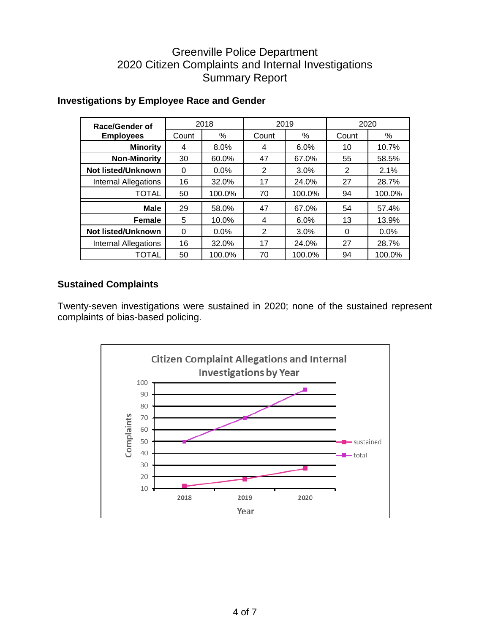| <b>Race/Gender of</b>       |       | 2018    |                | 2019   | 2020     |        |
|-----------------------------|-------|---------|----------------|--------|----------|--------|
| <b>Employees</b>            | Count | %       | Count          | %      | Count    | %      |
| <b>Minority</b>             | 4     | 8.0%    | 4              | 6.0%   | 10       | 10.7%  |
| <b>Non-Minority</b>         | 30    | 60.0%   | 47             | 67.0%  | 55       | 58.5%  |
| Not listed/Unknown          | 0     | 0.0%    | 2              | 3.0%   | 2        | 2.1%   |
| <b>Internal Allegations</b> | 16    | 32.0%   | 17             | 24.0%  | 27       | 28.7%  |
| <b>TOTAL</b>                | 50    | 100.0%  | 70             | 100.0% | 94       | 100.0% |
| <b>Male</b>                 | 29    | 58.0%   | 47             | 67.0%  | 54       | 57.4%  |
| <b>Female</b>               | 5     | 10.0%   | 4              | 6.0%   | 13       | 13.9%  |
| <b>Not listed/Unknown</b>   | 0     | $0.0\%$ | $\overline{2}$ | 3.0%   | $\Omega$ | 0.0%   |
| <b>Internal Allegations</b> | 16    | 32.0%   | 17             | 24.0%  | 27       | 28.7%  |
| TOTAL                       | 50    | 100.0%  | 70             | 100.0% | 94       | 100.0% |

#### **Investigations by Employee Race and Gender**

#### **Sustained Complaints**

Twenty-seven investigations were sustained in 2020; none of the sustained represent complaints of bias-based policing.

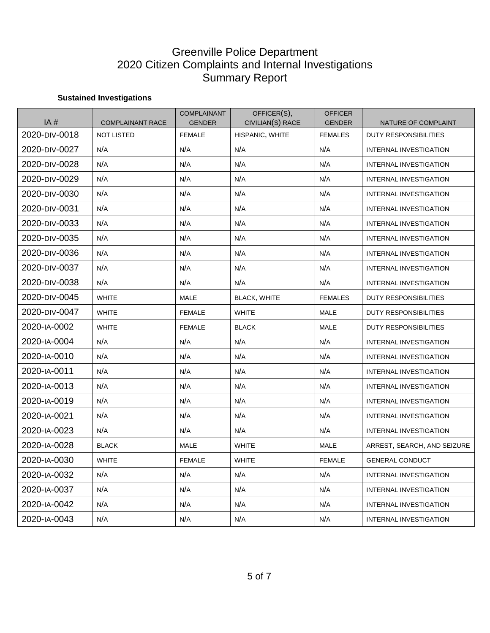#### **Sustained Investigations**

| IA#           | <b>COMPLAINANT RACE</b> | <b>COMPLAINANT</b><br><b>GENDER</b> | OFFICER(S),<br>CIVILIAN(S) RACE | <b>OFFICER</b><br><b>GENDER</b> | NATURE OF COMPLAINT           |
|---------------|-------------------------|-------------------------------------|---------------------------------|---------------------------------|-------------------------------|
| 2020-DIV-0018 | <b>NOT LISTED</b>       | <b>FEMALE</b>                       | HISPANIC, WHITE                 | <b>FEMALES</b>                  | <b>DUTY RESPONSIBILITIES</b>  |
| 2020-div-0027 | N/A                     | N/A                                 | N/A                             | N/A                             | <b>INTERNAL INVESTIGATION</b> |
| 2020-DIV-0028 | N/A                     | N/A                                 | N/A                             | N/A                             | <b>INTERNAL INVESTIGATION</b> |
| 2020-DIV-0029 | N/A                     | N/A                                 | N/A                             | N/A                             | <b>INTERNAL INVESTIGATION</b> |
| 2020-div-0030 | N/A                     | N/A                                 | N/A                             | N/A                             | INTERNAL INVESTIGATION        |
| 2020-DIV-0031 | N/A                     | N/A                                 | N/A                             | N/A                             | <b>INTERNAL INVESTIGATION</b> |
| 2020-DIV-0033 | N/A                     | N/A                                 | N/A                             | N/A                             | <b>INTERNAL INVESTIGATION</b> |
| 2020-DIV-0035 | N/A                     | N/A                                 | N/A                             | N/A                             | INTERNAL INVESTIGATION        |
| 2020-div-0036 | N/A                     | N/A                                 | N/A                             | N/A                             | INTERNAL INVESTIGATION        |
| 2020-DIV-0037 | N/A                     | N/A                                 | N/A                             | N/A                             | <b>INTERNAL INVESTIGATION</b> |
| 2020-div-0038 | N/A                     | N/A                                 | N/A                             | N/A                             | INTERNAL INVESTIGATION        |
| 2020-div-0045 | <b>WHITE</b>            | MALE                                | <b>BLACK, WHITE</b>             | <b>FEMALES</b>                  | DUTY RESPONSIBILITIES         |
| 2020-DIV-0047 | <b>WHITE</b>            | <b>FEMALE</b>                       | <b>WHITE</b>                    | <b>MALE</b>                     | <b>DUTY RESPONSIBILITIES</b>  |
| 2020-IA-0002  | <b>WHITE</b>            | <b>FEMALE</b>                       | <b>BLACK</b>                    | <b>MALE</b>                     | <b>DUTY RESPONSIBILITIES</b>  |
| 2020-IA-0004  | N/A                     | N/A                                 | N/A                             | N/A                             | INTERNAL INVESTIGATION        |
| 2020-IA-0010  | N/A                     | N/A                                 | N/A                             | N/A                             | <b>INTERNAL INVESTIGATION</b> |
| 2020-IA-0011  | N/A                     | N/A                                 | N/A                             | N/A                             | INTERNAL INVESTIGATION        |
| 2020-IA-0013  | N/A                     | N/A                                 | N/A                             | N/A                             | INTERNAL INVESTIGATION        |
| 2020-IA-0019  | N/A                     | N/A                                 | N/A                             | N/A                             | <b>INTERNAL INVESTIGATION</b> |
| 2020-IA-0021  | N/A                     | N/A                                 | N/A                             | N/A                             | INTERNAL INVESTIGATION        |
| 2020-IA-0023  | N/A                     | N/A                                 | N/A                             | N/A                             | <b>INTERNAL INVESTIGATION</b> |
| 2020-IA-0028  | <b>BLACK</b>            | <b>MALE</b>                         | <b>WHITE</b>                    | <b>MALE</b>                     | ARREST, SEARCH, AND SEIZURE   |
| 2020-IA-0030  | <b>WHITE</b>            | <b>FEMALE</b>                       | <b>WHITE</b>                    | <b>FEMALE</b>                   | <b>GENERAL CONDUCT</b>        |
| 2020-IA-0032  | N/A                     | N/A                                 | N/A                             | N/A                             | INTERNAL INVESTIGATION        |
| 2020-IA-0037  | N/A                     | N/A                                 | N/A                             | N/A                             | INTERNAL INVESTIGATION        |
| 2020-IA-0042  | N/A                     | N/A                                 | N/A                             | N/A                             | INTERNAL INVESTIGATION        |
| 2020-ia-0043  | N/A                     | N/A                                 | N/A                             | N/A                             | INTERNAL INVESTIGATION        |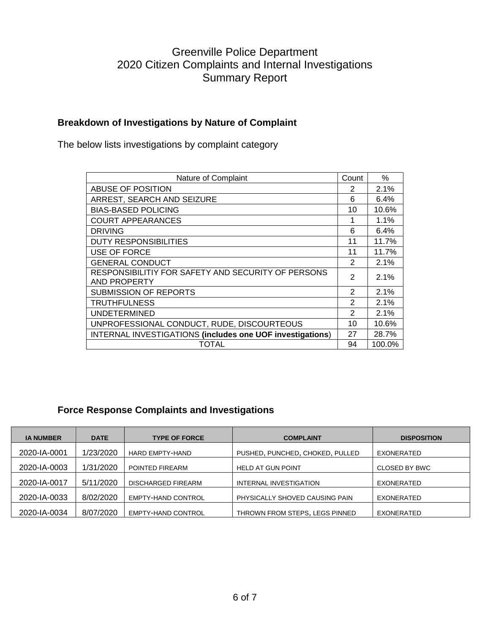#### **Breakdown of Investigations by Nature of Complaint**

The below lists investigations by complaint category

| Nature of Complaint                                                       | Count         | $\%$    |
|---------------------------------------------------------------------------|---------------|---------|
| ABUSE OF POSITION                                                         | 2             | 2.1%    |
| ARREST, SEARCH AND SEIZURE                                                | 6             | $6.4\%$ |
| <b>BIAS-BASED POLICING</b>                                                | 10            | 10.6%   |
| <b>COURT APPEARANCES</b>                                                  | 1             | 1.1%    |
| <b>DRIVING</b>                                                            | 6             | 6.4%    |
| <b>DUTY RESPONSIBILITIES</b>                                              | 11            | 11.7%   |
| <b>USE OF FORCE</b>                                                       | 11            | 11.7%   |
| <b>GENERAL CONDUCT</b>                                                    | 2             | 2.1%    |
| RESPONSIBILITIY FOR SAFETY AND SECURITY OF PERSONS<br><b>AND PROPERTY</b> | 2             | 2.1%    |
| <b>SUBMISSION OF REPORTS</b>                                              | $\mathcal{P}$ | 2.1%    |
| <b>TRUTHFULNESS</b>                                                       | $\mathcal{P}$ | 2.1%    |
| <b>UNDETERMINED</b>                                                       | $\mathcal{P}$ | 2.1%    |
| UNPROFESSIONAL CONDUCT, RUDE, DISCOURTEOUS                                | 10            | 10.6%   |
| <b>INTERNAL INVESTIGATIONS (includes one UOF investigations)</b>          | 27            | 28.7%   |
| TOTAL                                                                     | 94            | 100.0%  |

#### **Force Response Complaints and Investigations**

| <b>IA NUMBER</b> | <b>DATE</b> | <b>TYPE OF FORCE</b>      | <b>COMPLAINT</b>                | <b>DISPOSITION</b>   |
|------------------|-------------|---------------------------|---------------------------------|----------------------|
| 2020-IA-0001     | 1/23/2020   | <b>HARD EMPTY-HAND</b>    | PUSHED, PUNCHED, CHOKED, PULLED | EXONERATED           |
| 2020-IA-0003     | 1/31/2020   | POINTED FIREARM           | <b>HELD AT GUN POINT</b>        | <b>CLOSED BY BWC</b> |
| 2020-IA-0017     | 5/11/2020   | <b>DISCHARGED FIREARM</b> | INTERNAL INVESTIGATION          | EXONERATED           |
| 2020-IA-0033     | 8/02/2020   | <b>EMPTY-HAND CONTROL</b> | PHYSICALLY SHOVED CAUSING PAIN  | <b>EXONERATED</b>    |
| 2020-IA-0034     | 8/07/2020   | <b>EMPTY-HAND CONTROL</b> | THROWN FROM STEPS, LEGS PINNED  | <b>EXONERATED</b>    |